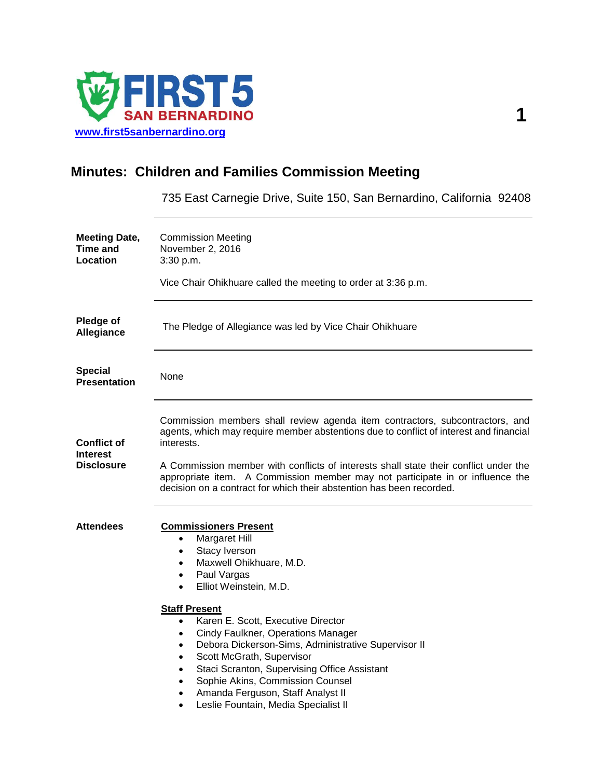

# **Minutes: Children and Families Commission Meeting**

735 East Carnegie Drive, Suite 150, San Bernardino, California 92408

| <b>Meeting Date,</b><br>Time and<br>Location               | <b>Commission Meeting</b><br>November 2, 2016<br>3:30 p.m.<br>Vice Chair Ohikhuare called the meeting to order at 3:36 p.m.                                                                                                                                                                                                                                                                                                                                                                                                                                                                                                                                          |
|------------------------------------------------------------|----------------------------------------------------------------------------------------------------------------------------------------------------------------------------------------------------------------------------------------------------------------------------------------------------------------------------------------------------------------------------------------------------------------------------------------------------------------------------------------------------------------------------------------------------------------------------------------------------------------------------------------------------------------------|
| Pledge of<br>Allegiance                                    | The Pledge of Allegiance was led by Vice Chair Ohikhuare                                                                                                                                                                                                                                                                                                                                                                                                                                                                                                                                                                                                             |
| <b>Special</b><br><b>Presentation</b>                      | None                                                                                                                                                                                                                                                                                                                                                                                                                                                                                                                                                                                                                                                                 |
| <b>Conflict of</b><br><b>Interest</b><br><b>Disclosure</b> | Commission members shall review agenda item contractors, subcontractors, and<br>agents, which may require member abstentions due to conflict of interest and financial<br>interests.<br>A Commission member with conflicts of interests shall state their conflict under the<br>appropriate item. A Commission member may not participate in or influence the<br>decision on a contract for which their abstention has been recorded.                                                                                                                                                                                                                                |
| <b>Attendees</b>                                           | <b>Commissioners Present</b><br>Margaret Hill<br>$\bullet$<br>Stacy Iverson<br>$\bullet$<br>Maxwell Ohikhuare, M.D.<br>$\bullet$<br>Paul Vargas<br>$\bullet$<br>Elliot Weinstein, M.D.<br>$\bullet$<br><b>Staff Present</b><br>Karen E. Scott, Executive Director<br>$\bullet$<br>Cindy Faulkner, Operations Manager<br>$\bullet$<br>Debora Dickerson-Sims, Administrative Supervisor II<br>$\bullet$<br>Scott McGrath, Supervisor<br>$\bullet$<br>Staci Scranton, Supervising Office Assistant<br>$\bullet$<br>Sophie Akins, Commission Counsel<br>$\bullet$<br>Amanda Ferguson, Staff Analyst II<br>$\bullet$<br>Leslie Fountain, Media Specialist II<br>$\bullet$ |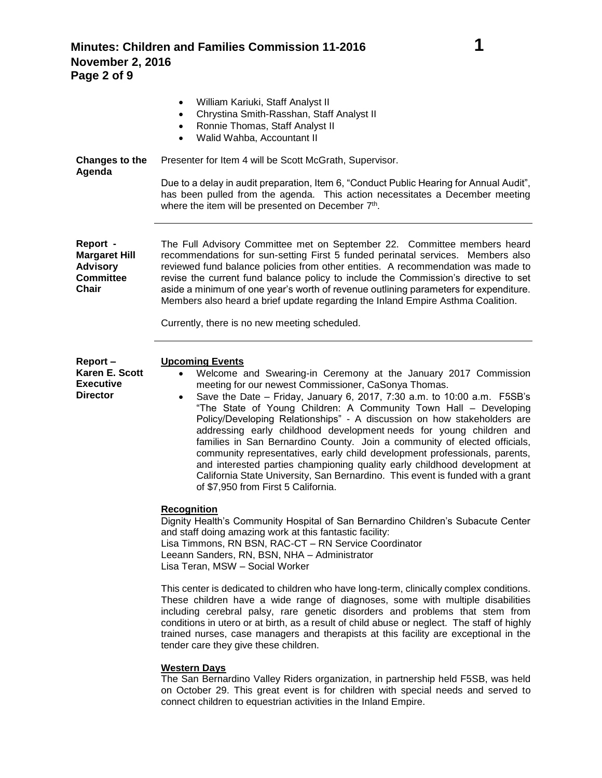**Minutes: Children and Families Commission 11-2016 1 November 2, 2016 Page 2 of 9**

|                                                                                         | William Kariuki, Staff Analyst II<br>٠<br>Chrystina Smith-Rasshan, Staff Analyst II<br>$\bullet$<br>Ronnie Thomas, Staff Analyst II<br>$\bullet$<br>Walid Wahba, Accountant II<br>$\bullet$                                                                                                                                                                                                                                                                                                                                                                                                                                                                                                                                                                                                                                                   |
|-----------------------------------------------------------------------------------------|-----------------------------------------------------------------------------------------------------------------------------------------------------------------------------------------------------------------------------------------------------------------------------------------------------------------------------------------------------------------------------------------------------------------------------------------------------------------------------------------------------------------------------------------------------------------------------------------------------------------------------------------------------------------------------------------------------------------------------------------------------------------------------------------------------------------------------------------------|
| <b>Changes to the</b><br>Agenda                                                         | Presenter for Item 4 will be Scott McGrath, Supervisor.                                                                                                                                                                                                                                                                                                                                                                                                                                                                                                                                                                                                                                                                                                                                                                                       |
|                                                                                         | Due to a delay in audit preparation, Item 6, "Conduct Public Hearing for Annual Audit",<br>has been pulled from the agenda. This action necessitates a December meeting<br>where the item will be presented on December 7th.                                                                                                                                                                                                                                                                                                                                                                                                                                                                                                                                                                                                                  |
| Report -<br><b>Margaret Hill</b><br><b>Advisory</b><br><b>Committee</b><br><b>Chair</b> | The Full Advisory Committee met on September 22. Committee members heard<br>recommendations for sun-setting First 5 funded perinatal services. Members also<br>reviewed fund balance policies from other entities. A recommendation was made to<br>revise the current fund balance policy to include the Commission's directive to set<br>aside a minimum of one year's worth of revenue outlining parameters for expenditure.<br>Members also heard a brief update regarding the Inland Empire Asthma Coalition.                                                                                                                                                                                                                                                                                                                             |
|                                                                                         | Currently, there is no new meeting scheduled.                                                                                                                                                                                                                                                                                                                                                                                                                                                                                                                                                                                                                                                                                                                                                                                                 |
| Report-<br>Karen E. Scott<br><b>Executive</b><br><b>Director</b>                        | <b>Upcoming Events</b><br>Welcome and Swearing-in Ceremony at the January 2017 Commission<br>$\bullet$<br>meeting for our newest Commissioner, CaSonya Thomas.<br>Save the Date - Friday, January 6, 2017, 7:30 a.m. to 10:00 a.m. F5SB's<br>$\bullet$<br>"The State of Young Children: A Community Town Hall - Developing<br>Policy/Developing Relationships" - A discussion on how stakeholders are<br>addressing early childhood development needs for young children and<br>families in San Bernardino County. Join a community of elected officials,<br>community representatives, early child development professionals, parents,<br>and interested parties championing quality early childhood development at<br>California State University, San Bernardino. This event is funded with a grant<br>of \$7,950 from First 5 California. |
|                                                                                         | <b>Recognition</b><br>Dignity Health's Community Hospital of San Bernardino Children's Subacute Center<br>and staff doing amazing work at this fantastic facility:<br>Lisa Timmons, RN BSN, RAC-CT - RN Service Coordinator<br>Leeann Sanders, RN, BSN, NHA - Administrator<br>Lisa Teran, MSW - Social Worker                                                                                                                                                                                                                                                                                                                                                                                                                                                                                                                                |
|                                                                                         | This center is dedicated to children who have long-term, clinically complex conditions.<br>These children have a wide range of diagnoses, some with multiple disabilities<br>including cerebral palsy, rare genetic disorders and problems that stem from<br>conditions in utero or at birth, as a result of child abuse or neglect. The staff of highly<br>trained nurses, case managers and therapists at this facility are exceptional in the<br>tender care they give these children.                                                                                                                                                                                                                                                                                                                                                     |
|                                                                                         | <b>Western Days</b>                                                                                                                                                                                                                                                                                                                                                                                                                                                                                                                                                                                                                                                                                                                                                                                                                           |

The San Bernardino Valley Riders organization, in partnership held F5SB, was held on October 29. This great event is for children with special needs and served to connect children to equestrian activities in the Inland Empire.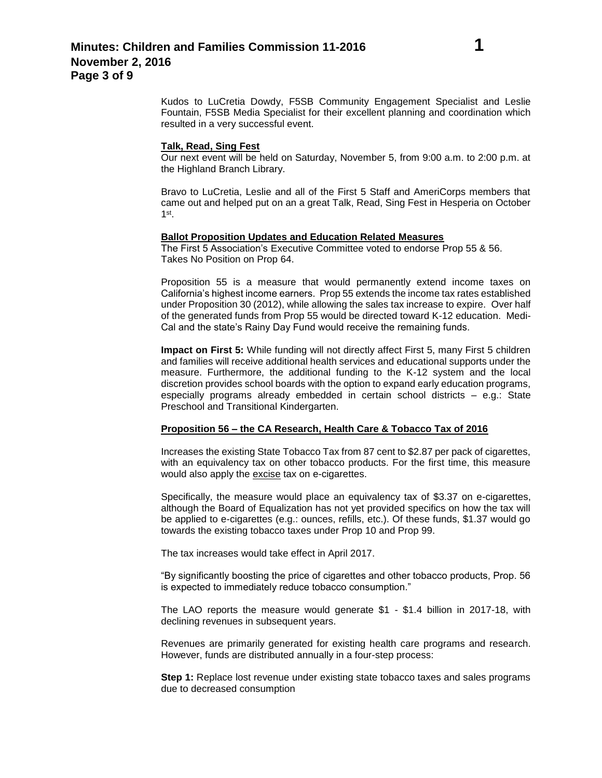Kudos to LuCretia Dowdy, F5SB Community Engagement Specialist and Leslie Fountain, F5SB Media Specialist for their excellent planning and coordination which resulted in a very successful event.

#### **Talk, Read, Sing Fest**

Our next event will be held on Saturday, November 5, from 9:00 a.m. to 2:00 p.m. at the Highland Branch Library.

Bravo to LuCretia, Leslie and all of the First 5 Staff and AmeriCorps members that came out and helped put on an a great Talk, Read, Sing Fest in Hesperia on October  $1^{\text{st}}$ .

#### **Ballot Proposition Updates and Education Related Measures**

The First 5 Association's Executive Committee voted to endorse Prop 55 & 56. Takes No Position on Prop 64.

Proposition 55 is a measure that would permanently extend income taxes on California's highest income earners. Prop 55 extends the income tax rates established under Proposition 30 (2012), while allowing the sales tax increase to expire. Over half of the generated funds from Prop 55 would be directed toward K-12 education. Medi-Cal and the state's Rainy Day Fund would receive the remaining funds.

**Impact on First 5:** While funding will not directly affect First 5, many First 5 children and families will receive additional health services and educational supports under the measure. Furthermore, the additional funding to the K-12 system and the local discretion provides school boards with the option to expand early education programs, especially programs already embedded in certain school districts – e.g.: State Preschool and Transitional Kindergarten.

#### **Proposition 56 – the CA Research, Health Care & Tobacco Tax of 2016**

Increases the existing State Tobacco Tax from 87 cent to \$2.87 per pack of cigarettes, with an equivalency tax on other tobacco products. For the first time, this measure would also apply the excise tax on e-cigarettes.

Specifically, the measure would place an equivalency tax of \$3.37 on e-cigarettes, although the Board of Equalization has not yet provided specifics on how the tax will be applied to e-cigarettes (e.g.: ounces, refills, etc.). Of these funds, \$1.37 would go towards the existing tobacco taxes under Prop 10 and Prop 99.

The tax increases would take effect in April 2017.

"By significantly boosting the price of cigarettes and other tobacco products, Prop. 56 is expected to immediately reduce tobacco consumption."

The LAO reports the measure would generate \$1 - \$1.4 billion in 2017-18, with declining revenues in subsequent years.

Revenues are primarily generated for existing health care programs and research. However, funds are distributed annually in a four-step process:

**Step 1:** Replace lost revenue under existing state tobacco taxes and sales programs due to decreased consumption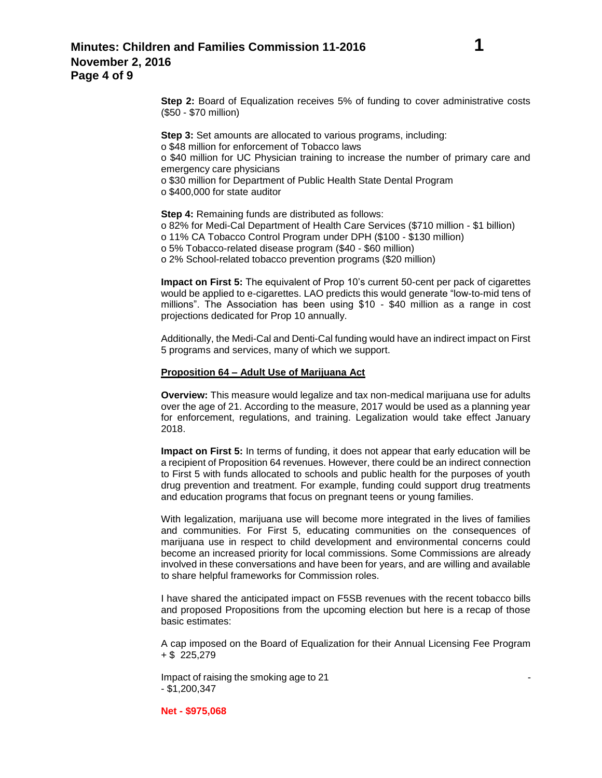**Step 2:** Board of Equalization receives 5% of funding to cover administrative costs (\$50 - \$70 million)

**Step 3:** Set amounts are allocated to various programs, including: o \$48 million for enforcement of Tobacco laws o \$40 million for UC Physician training to increase the number of primary care and emergency care physicians o \$30 million for Department of Public Health State Dental Program o \$400,000 for state auditor

**Step 4: Remaining funds are distributed as follows:** o 82% for Medi-Cal Department of Health Care Services (\$710 million - \$1 billion) o 11% CA Tobacco Control Program under DPH (\$100 - \$130 million) o 5% Tobacco-related disease program (\$40 - \$60 million) o 2% School-related tobacco prevention programs (\$20 million)

**Impact on First 5:** The equivalent of Prop 10's current 50-cent per pack of cigarettes would be applied to e-cigarettes. LAO predicts this would generate "low-to-mid tens of millions". The Association has been using \$10 - \$40 million as a range in cost projections dedicated for Prop 10 annually.

Additionally, the Medi-Cal and Denti-Cal funding would have an indirect impact on First 5 programs and services, many of which we support.

#### **Proposition 64 – Adult Use of Marijuana Act**

**Overview:** This measure would legalize and tax non-medical marijuana use for adults over the age of 21. According to the measure, 2017 would be used as a planning year for enforcement, regulations, and training. Legalization would take effect January 2018.

**Impact on First 5:** In terms of funding, it does not appear that early education will be a recipient of Proposition 64 revenues. However, there could be an indirect connection to First 5 with funds allocated to schools and public health for the purposes of youth drug prevention and treatment. For example, funding could support drug treatments and education programs that focus on pregnant teens or young families.

With legalization, marijuana use will become more integrated in the lives of families and communities. For First 5, educating communities on the consequences of marijuana use in respect to child development and environmental concerns could become an increased priority for local commissions. Some Commissions are already involved in these conversations and have been for years, and are willing and available to share helpful frameworks for Commission roles.

I have shared the anticipated impact on F5SB revenues with the recent tobacco bills and proposed Propositions from the upcoming election but here is a recap of those basic estimates:

A cap imposed on the Board of Equalization for their Annual Licensing Fee Program + \$ 225,279

Impact of raising the smoking age to 21 - \$1,200,347

**Net - \$975,068**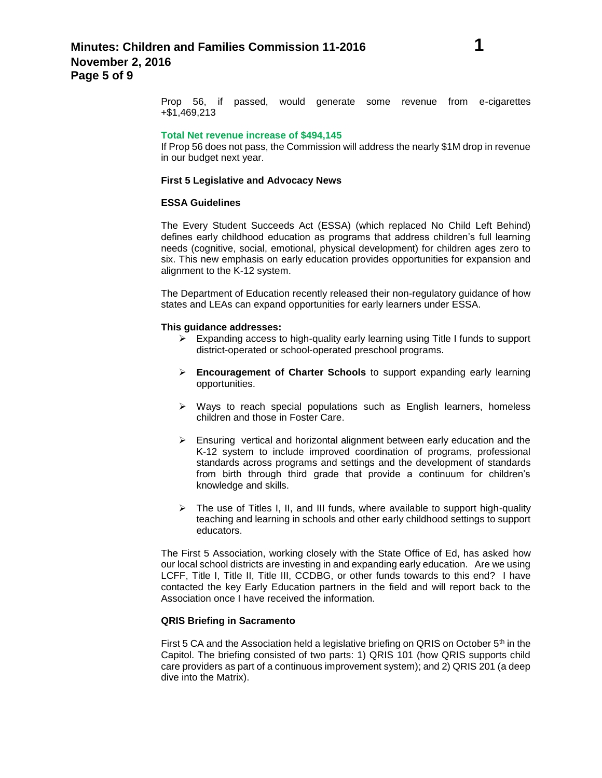Prop 56, if passed, would generate some revenue from e-cigarettes +\$1,469,213

#### **Total Net revenue increase of \$494,145**

If Prop 56 does not pass, the Commission will address the nearly \$1M drop in revenue in our budget next year.

#### **First 5 Legislative and Advocacy News**

#### **ESSA Guidelines**

The Every Student Succeeds Act (ESSA) (which replaced No Child Left Behind) defines early childhood education as programs that address children's full learning needs (cognitive, social, emotional, physical development) for children ages zero to six. This new emphasis on early education provides opportunities for expansion and alignment to the K-12 system.

The Department of Education recently released their non-regulatory guidance of how states and LEAs can expand opportunities for early learners under ESSA.

#### **This guidance addresses:**

- $\triangleright$  Expanding access to high-quality early learning using Title I funds to support district-operated or school-operated preschool programs.
- **Encouragement of Charter Schools** to support expanding early learning opportunities.
- $\triangleright$  Ways to reach special populations such as English learners, homeless children and those in Foster Care.
- $\triangleright$  Ensuring vertical and horizontal alignment between early education and the K-12 system to include improved coordination of programs, professional standards across programs and settings and the development of standards from birth through third grade that provide a continuum for children's knowledge and skills.
- $\triangleright$  The use of Titles I, II, and III funds, where available to support high-quality teaching and learning in schools and other early childhood settings to support educators.

The First 5 Association, working closely with the State Office of Ed, has asked how our local school districts are investing in and expanding early education. Are we using LCFF, Title I, Title II, Title III, CCDBG, or other funds towards to this end? I have contacted the key Early Education partners in the field and will report back to the Association once I have received the information.

### **QRIS Briefing in Sacramento**

First 5 CA and the Association held a legislative briefing on QRIS on October 5<sup>th</sup> in the Capitol. The briefing consisted of two parts: 1) QRIS 101 (how QRIS supports child care providers as part of a continuous improvement system); and 2) QRIS 201 (a deep dive into the Matrix).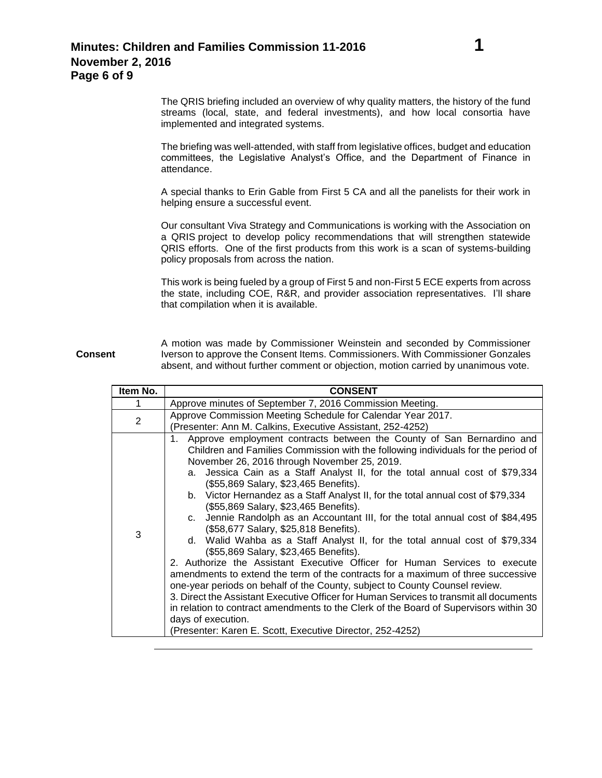The QRIS briefing included an overview of why quality matters, the history of the fund streams (local, state, and federal investments), and how local consortia have implemented and integrated systems.

The briefing was well-attended, with staff from legislative offices, budget and education committees, the Legislative Analyst's Office, and the Department of Finance in attendance.

A special thanks to Erin Gable from First 5 CA and all the panelists for their work in helping ensure a successful event.

Our consultant Viva Strategy and Communications is working with the Association on a QRIS project to develop policy recommendations that will strengthen statewide QRIS efforts. One of the first products from this work is a [scan of systems-building](http://intranet.first5association.org/files/managed/Document/2415/High%20Quality%20Early%20Learning%20State%20Systems%20Building.pdf)  [policy proposals](http://intranet.first5association.org/files/managed/Document/2415/High%20Quality%20Early%20Learning%20State%20Systems%20Building.pdf) from across the nation.

This work is being fueled by a group of First 5 and non-First 5 ECE experts from across the state, including COE, R&R, and provider association representatives. I'll share that compilation when it is available.

#### **Consent** A motion was made by Commissioner Weinstein and seconded by Commissioner Iverson to approve the Consent Items. Commissioners. With Commissioner Gonzales absent, and without further comment or objection, motion carried by unanimous vote.

| Item No. | <b>CONSENT</b>                                                                                                                                                                                                                                                                                                                                                                                                                                                                                                                                                                                                                                                                                                                                                                                                                                                                                                                                                                                                                                                                                                                                                                                                                                |
|----------|-----------------------------------------------------------------------------------------------------------------------------------------------------------------------------------------------------------------------------------------------------------------------------------------------------------------------------------------------------------------------------------------------------------------------------------------------------------------------------------------------------------------------------------------------------------------------------------------------------------------------------------------------------------------------------------------------------------------------------------------------------------------------------------------------------------------------------------------------------------------------------------------------------------------------------------------------------------------------------------------------------------------------------------------------------------------------------------------------------------------------------------------------------------------------------------------------------------------------------------------------|
|          | Approve minutes of September 7, 2016 Commission Meeting.                                                                                                                                                                                                                                                                                                                                                                                                                                                                                                                                                                                                                                                                                                                                                                                                                                                                                                                                                                                                                                                                                                                                                                                      |
| 2        | Approve Commission Meeting Schedule for Calendar Year 2017.                                                                                                                                                                                                                                                                                                                                                                                                                                                                                                                                                                                                                                                                                                                                                                                                                                                                                                                                                                                                                                                                                                                                                                                   |
|          | (Presenter: Ann M. Calkins, Executive Assistant, 252-4252)                                                                                                                                                                                                                                                                                                                                                                                                                                                                                                                                                                                                                                                                                                                                                                                                                                                                                                                                                                                                                                                                                                                                                                                    |
| 3        | Approve employment contracts between the County of San Bernardino and<br>Children and Families Commission with the following individuals for the period of<br>November 26, 2016 through November 25, 2019.<br>Jessica Cain as a Staff Analyst II, for the total annual cost of \$79,334<br>a.<br>(\$55,869 Salary, \$23,465 Benefits).<br>b. Victor Hernandez as a Staff Analyst II, for the total annual cost of \$79,334<br>(\$55,869 Salary, \$23,465 Benefits).<br>c. Jennie Randolph as an Accountant III, for the total annual cost of \$84,495<br>(\$58,677 Salary, \$25,818 Benefits).<br>d. Walid Wahba as a Staff Analyst II, for the total annual cost of \$79,334<br>(\$55,869 Salary, \$23,465 Benefits).<br>2. Authorize the Assistant Executive Officer for Human Services to execute<br>amendments to extend the term of the contracts for a maximum of three successive<br>one-year periods on behalf of the County, subject to County Counsel review.<br>3. Direct the Assistant Executive Officer for Human Services to transmit all documents<br>in relation to contract amendments to the Clerk of the Board of Supervisors within 30<br>days of execution.<br>(Presenter: Karen E. Scott, Executive Director, 252-4252) |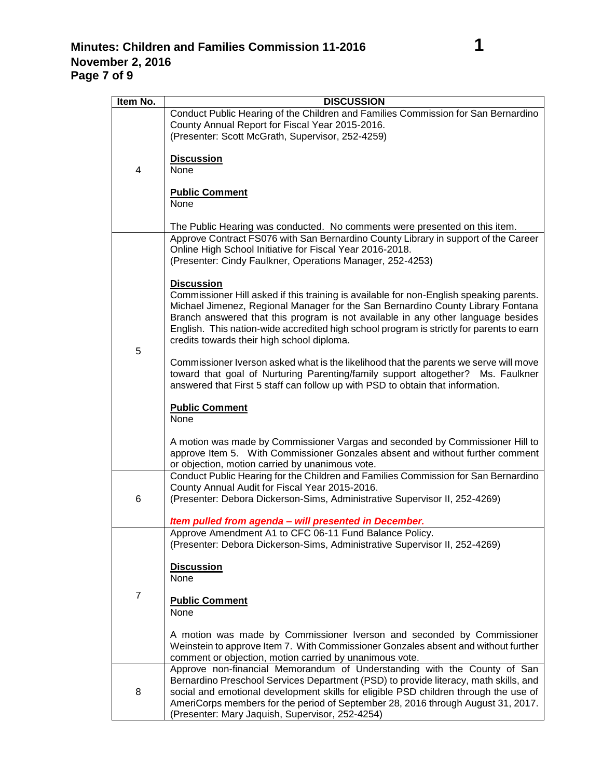| Item No.       | <b>DISCUSSION</b>                                                                                                                                                                                                                                                                                                                                                                                                             |
|----------------|-------------------------------------------------------------------------------------------------------------------------------------------------------------------------------------------------------------------------------------------------------------------------------------------------------------------------------------------------------------------------------------------------------------------------------|
|                | Conduct Public Hearing of the Children and Families Commission for San Bernardino<br>County Annual Report for Fiscal Year 2015-2016.<br>(Presenter: Scott McGrath, Supervisor, 252-4259)                                                                                                                                                                                                                                      |
| 4              | <b>Discussion</b><br>None                                                                                                                                                                                                                                                                                                                                                                                                     |
|                | <b>Public Comment</b><br>None                                                                                                                                                                                                                                                                                                                                                                                                 |
|                | The Public Hearing was conducted. No comments were presented on this item.                                                                                                                                                                                                                                                                                                                                                    |
| 5              | Approve Contract FS076 with San Bernardino County Library in support of the Career<br>Online High School Initiative for Fiscal Year 2016-2018.<br>(Presenter: Cindy Faulkner, Operations Manager, 252-4253)                                                                                                                                                                                                                   |
|                | <b>Discussion</b><br>Commissioner Hill asked if this training is available for non-English speaking parents.<br>Michael Jimenez, Regional Manager for the San Bernardino County Library Fontana<br>Branch answered that this program is not available in any other language besides<br>English. This nation-wide accredited high school program is strictly for parents to earn<br>credits towards their high school diploma. |
|                | Commissioner Iverson asked what is the likelihood that the parents we serve will move<br>toward that goal of Nurturing Parenting/family support altogether? Ms. Faulkner<br>answered that First 5 staff can follow up with PSD to obtain that information.                                                                                                                                                                    |
|                | <b>Public Comment</b><br>None                                                                                                                                                                                                                                                                                                                                                                                                 |
|                | A motion was made by Commissioner Vargas and seconded by Commissioner Hill to<br>approve Item 5. With Commissioner Gonzales absent and without further comment<br>or objection, motion carried by unanimous vote.                                                                                                                                                                                                             |
|                | Conduct Public Hearing for the Children and Families Commission for San Bernardino<br>County Annual Audit for Fiscal Year 2015-2016.                                                                                                                                                                                                                                                                                          |
| 6              | (Presenter: Debora Dickerson-Sims, Administrative Supervisor II, 252-4269)                                                                                                                                                                                                                                                                                                                                                    |
|                | Item pulled from agenda - will presented in December.                                                                                                                                                                                                                                                                                                                                                                         |
| $\overline{7}$ | Approve Amendment A1 to CFC 06-11 Fund Balance Policy.<br>(Presenter: Debora Dickerson-Sims, Administrative Supervisor II, 252-4269)                                                                                                                                                                                                                                                                                          |
|                | <b>Discussion</b><br>None                                                                                                                                                                                                                                                                                                                                                                                                     |
|                | <b>Public Comment</b><br>None                                                                                                                                                                                                                                                                                                                                                                                                 |
|                | A motion was made by Commissioner Iverson and seconded by Commissioner<br>Weinstein to approve Item 7. With Commissioner Gonzales absent and without further<br>comment or objection, motion carried by unanimous vote.                                                                                                                                                                                                       |
| 8              | Approve non-financial Memorandum of Understanding with the County of San<br>Bernardino Preschool Services Department (PSD) to provide literacy, math skills, and<br>social and emotional development skills for eligible PSD children through the use of<br>AmeriCorps members for the period of September 28, 2016 through August 31, 2017.                                                                                  |
|                | (Presenter: Mary Jaquish, Supervisor, 252-4254)                                                                                                                                                                                                                                                                                                                                                                               |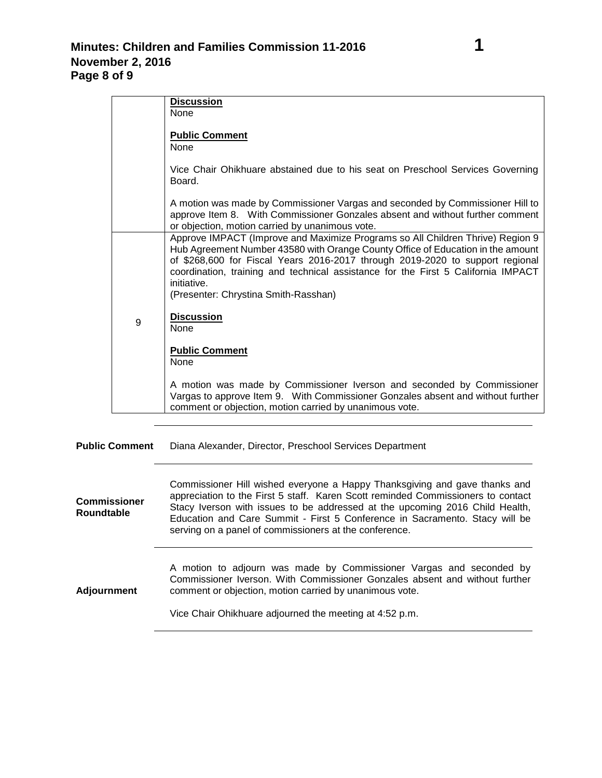|   | <b>Discussion</b><br>None                                                                                                                                                                                                                                                                                                                                                                      |
|---|------------------------------------------------------------------------------------------------------------------------------------------------------------------------------------------------------------------------------------------------------------------------------------------------------------------------------------------------------------------------------------------------|
|   | <b>Public Comment</b><br><b>None</b>                                                                                                                                                                                                                                                                                                                                                           |
|   | Vice Chair Ohikhuare abstained due to his seat on Preschool Services Governing<br>Board.                                                                                                                                                                                                                                                                                                       |
|   | A motion was made by Commissioner Vargas and seconded by Commissioner Hill to<br>approve Item 8. With Commissioner Gonzales absent and without further comment<br>or objection, motion carried by unanimous vote.                                                                                                                                                                              |
|   | Approve IMPACT (Improve and Maximize Programs so All Children Thrive) Region 9<br>Hub Agreement Number 43580 with Orange County Office of Education in the amount<br>of \$268,600 for Fiscal Years 2016-2017 through 2019-2020 to support regional<br>coordination, training and technical assistance for the First 5 California IMPACT<br>initiative.<br>(Presenter: Chrystina Smith-Rasshan) |
| 9 | <b>Discussion</b><br>None                                                                                                                                                                                                                                                                                                                                                                      |
|   | <b>Public Comment</b><br>None                                                                                                                                                                                                                                                                                                                                                                  |
|   | A motion was made by Commissioner Iverson and seconded by Commissioner<br>Vargas to approve Item 9. With Commissioner Gonzales absent and without further<br>comment or objection, motion carried by unanimous vote.                                                                                                                                                                           |

**Public Comment** Diana Alexander, Director, Preschool Services Department

| <b>Commissioner</b><br><b>Roundtable</b> | Commissioner Hill wished everyone a Happy Thanksgiving and gave thanks and<br>appreciation to the First 5 staff. Karen Scott reminded Commissioners to contact<br>Stacy Iverson with issues to be addressed at the upcoming 2016 Child Health,<br>Education and Care Summit - First 5 Conference in Sacramento. Stacy will be<br>serving on a panel of commissioners at the conference. |
|------------------------------------------|-----------------------------------------------------------------------------------------------------------------------------------------------------------------------------------------------------------------------------------------------------------------------------------------------------------------------------------------------------------------------------------------|
| <b>Adjournment</b>                       | A motion to adjourn was made by Commissioner Vargas and seconded by<br>Commissioner Iverson. With Commissioner Gonzales absent and without further<br>comment or objection, motion carried by unanimous vote.<br>Vice Chair Ohikhuare adjourned the meeting at 4:52 p.m.                                                                                                                |